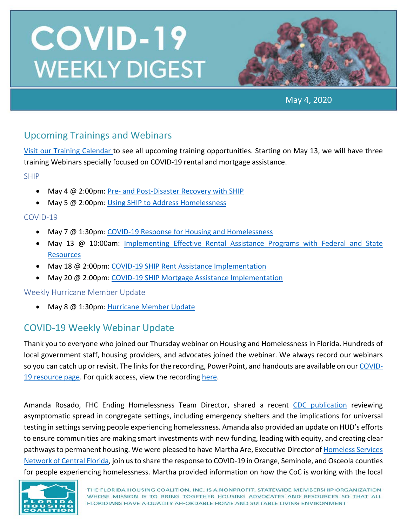

May 4, 2020

## Upcoming Trainings and Webinars

[Visit our Training Calendar](https://www.flhousing.org/events/) to see all upcoming training opportunities. Starting on May 13, we will have three training Webinars specially focused on COVID-19 rental and mortgage assistance.

SHIP

- May 4 @ 2:00pm: Pre- [and Post-Disaster Recovery with](https://register.gotowebinar.com/register/5897436624655967746) SHIP
- May 5 @ 2:00pm[: Using SHIP to Address Homelessness](https://register.gotowebinar.com/register/3263591704689722625)

#### COVID-19

- May 7 @ 1:30pm[: COVID-19 Response for Housing and Homelessness](https://register.gotowebinar.com/register/5614552079474961934)
- May 13 @ 10:00am: Implementing Effective Rental Assistance Programs with Federal and State **[Resources](https://attendee.gotowebinar.com/register/7291419462613166863)**
- May 18 @ 2:00pm[: COVID-19 SHIP Rent Assistance Implementation](https://attendee.gotowebinar.com/register/7691296448631153675)
- May 20 @ 2:00pm[: COVID-19 SHIP Mortgage Assistance Implementation](https://attendee.gotowebinar.com/register/620374553799087627)

Weekly Hurricane Member Update

• May 8 @ 1:30pm[: Hurricane Member Update](https://register.gotowebinar.com/register/1549702670250108939)

## COVID-19 Weekly Webinar Update

Thank you to everyone who joined our Thursday webinar on Housing and Homelessness in Florida. Hundreds of local government staff, housing providers, and advocates joined the webinar. We always record our webinars so you can catch up or revisit. The links for the recording, PowerPoint, and handouts are available on our [COVID-](https://www.flhousing.org/covid-19-housing-related-resources/)[19 resource page.](https://www.flhousing.org/covid-19-housing-related-resources/) For quick access, view the recording [here.](https://vimeo.com/413756888)

Amanda Rosado, FHC Ending Homelessness Team Director, shared a recent [CDC publication](https://www.cdc.gov/mmwr/volumes/69/wr/mm6917e1.htm?s_cid=mm6917e1_w) reviewing asymptomatic spread in congregate settings, including emergency shelters and the implications for universal testing in settings serving people experiencing homelessness. Amanda also provided an update on HUD's efforts to ensure communities are making smart investments with new funding, leading with equity, and creating clear pathways to permanent housing. We were pleased to have Martha Are, Executive Director o[f Homeless Services](https://www.hsncfl.org/)  [Network of Central Florida,](https://www.hsncfl.org/) join us to share the response to COVID-19 in Orange, Seminole, and Osceola counties for people experiencing homelessness. Martha provided information on how the CoC is working with the local

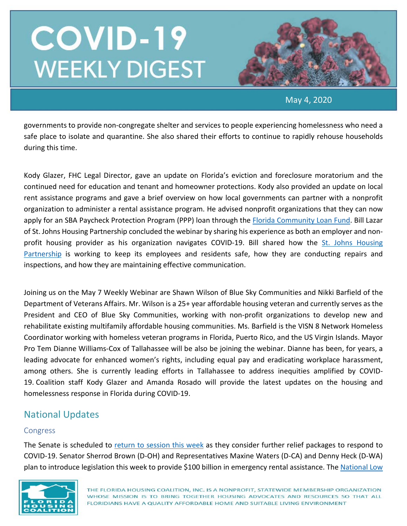

May 4, 2020

governments to provide non-congregate shelter and services to people experiencing homelessness who need a safe place to isolate and quarantine. She also shared their efforts to continue to rapidly rehouse households during this time.

Kody Glazer, FHC Legal Director, gave an update on Florida's eviction and foreclosure moratorium and the continued need for education and tenant and homeowner protections. Kody also provided an update on local rent assistance programs and gave a brief overview on how local governments can partner with a nonprofit organization to administer a rental assistance program. He advised nonprofit organizations that they can now apply for an SBA Paycheck Protection Program (PPP) loan through the [Florida Community Loan Fund.](https://fclf.org/paycheck-protection-program) Bill Lazar of St. Johns Housing Partnership concluded the webinar by sharing his experience as both an employer and nonprofit housing provider as his organization navigates COVID-19. Bill shared how the [St. Johns Housing](https://www.sjhp.org/)  [Partnership](https://www.sjhp.org/) is working to keep its employees and residents safe, how they are conducting repairs and inspections, and how they are maintaining effective communication.

Joining us on the May 7 Weekly Webinar are Shawn Wilson of Blue Sky Communities and Nikki Barfield of the Department of Veterans Affairs. Mr. Wilson is a 25+ year affordable housing veteran and currently serves as the President and CEO of Blue Sky Communities, working with non-profit organizations to develop new and rehabilitate existing multifamily affordable housing communities. Ms. Barfield is the VISN 8 Network Homeless Coordinator working with homeless veteran programs in Florida, Puerto Rico, and the US Virgin Islands. Mayor Pro Tem Dianne Williams-Cox of Tallahassee will be also be joining the webinar. Dianne has been, for years, a leading advocate for enhanced women's rights, including equal pay and eradicating workplace harassment, among others. She is currently leading efforts in Tallahassee to address inequities amplified by COVID-19. Coalition staff Kody Glazer and Amanda Rosado will provide the latest updates on the housing and homelessness response in Florida during COVID-19.

## National Updates

#### Congress

The Senate is scheduled to [return to session this week](https://www.npr.org/2020/04/28/847411554/house-cancels-plans-to-return-to-washington-on-may-4-senate-preps-plans-for-sess) as they consider further relief packages to respond to COVID-19. Senator Sherrod Brown (D-OH) and Representatives Maxine Waters (D-CA) and Denny Heck (D-WA) plan to introduce legislation this week to provide \$100 billion in emergency rental assistance. The National Low

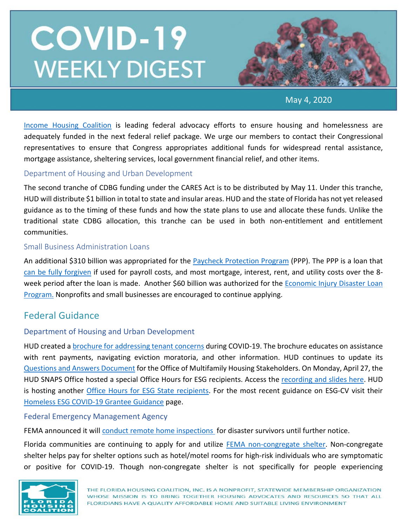

May 4, 2020

[Income Housing Coalition](https://nlihc.org/responding-coronavirus) is leading federal advocacy efforts to ensure housing and homelessness are adequately funded in the next federal relief package. We urge our members to contact their Congressional representatives to ensure that Congress appropriates additional funds for widespread rental assistance, mortgage assistance, sheltering services, local government financial relief, and other items.

#### Department of Housing and Urban Development

The second tranche of CDBG funding under the CARES Act is to be distributed by May 11. Under this tranche, HUD will distribute \$1 billion in total to state and insular areas. HUD and the state of Florida has not yet released guidance as to the timing of these funds and how the state plans to use and allocate these funds. Unlike the traditional state CDBG allocation, this tranche can be used in both non-entitlement and entitlement communities.

#### Small Business Administration Loans

An additional \$310 billion was appropriated for the [Paycheck Protection Program](https://www.sba.gov/funding-programs/loans/coronavirus-relief-options/paycheck-protection-program) (PPP). The PPP is a loan that [can be fully forgiven](https://home.treasury.gov/system/files/136/PPP--Fact-Sheet.pdf) if used for payroll costs, and most mortgage, interest, rent, and utility costs over the 8 week period after the loan is made. Another \$60 billion was authorized for the [Economic Injury Disaster Loan](https://www.benefits.gov/benefit/1504)  [Program.](https://www.benefits.gov/benefit/1504) Nonprofits and small businesses are encouraged to continue applying.

### Federal Guidance

#### Department of Housing and Urban Development

HUD created a [brochure for addressing tenant concerns](https://www.hud.gov/sites/dfiles/Housing/documents/MF_Tenant_Concerns_COVID-19_Brochure.pdf?utm_source=NLIHC+All+Subscribers&utm_campaign=4e1d2f5335-DHRC-5.1.2020-update&utm_medium=email&utm_term=0_e090383b5e-4e1d2f5335-293269037&ct=t(DHRC-5.1.202) during COVID-19. The brochure educates on assistance with rent payments, navigating eviction moratoria, and other information. HUD continues to update its [Questions and Answers Document](https://www.hud.gov/sites/dfiles/Housing/documents/HUD_Multifamily_Corona_QA_FINAL.pdf?utm_source=NLIHC+All+Subscribers&utm_campaign=4e1d2f5335-DHRC-5.1.2020-update&utm_medium=email&utm_term=0_e090383b5e-4e1d2f5335-293269037&ct=t(DHRC-5.1.2020-upd) for the Office of Multifamily Housing Stakeholders. On Monday, April 27, the HUD SNAPS Office hosted a special Office Hours for ESG recipients. Access the [recording and slides here.](https://www.hudexchange.info/trainings/courses/covid-19-office-hours-for-esg-recipients/?utm_source=NLIHC+All+Subscribers&utm_campaign=4e1d2f5335-DHRC-5.1.2020-update&utm_medium=email&utm_term=0_e090383b5e-4e1d2f5335-293269037&ct=t(DHRC-5.1.2020-u) HUD is hosting another [Office Hours for ESG State recipients.](https://www.hudexchange.info/trainings/courses/covid-19-office-hours-for-esg-state-recipients/) For the most recent guidance on ESG-CV visit their [Homeless ESG COVID-19 Grantee Guidance](https://www.hud.gov/program_offices/comm_planning/homeless_esg_covid-19) page.

#### Federal Emergency Management Agency

FEMA announced it wil[l conduct remote home inspections](https://www.fema.gov/news-release/2020/04/23/individual-and-households-program-remote-inspections?utm_source=NLIHC+All+Subscribers&utm_campaign=c981231e20-EMAIL_CAMPAIGN_2020_04_02_06_44_COPY_01&utm_medium=email&utm_term=0_e090383b5e-c981231e20-29) for disaster survivors until further notice.

Florida communities are continuing to apply for and utilize [FEMA non-congregate shelter.](https://www.fema.gov/news-release/2020/03/19/public-assistance-non-congregate-sheltering-delegation-authority) Non-congregate shelter helps pay for shelter options such as hotel/motel rooms for high-risk individuals who are symptomatic or positive for COVID-19. Though non-congregate shelter is not specifically for people experiencing

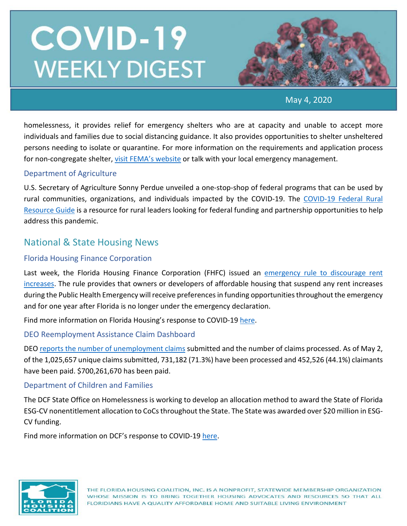

May 4, 2020

homelessness, it provides relief for emergency shelters who are at capacity and unable to accept more individuals and families due to social distancing guidance. It also provides opportunities to shelter unsheltered persons needing to isolate or quarantine. For more information on the requirements and application process for non-congregate shelter[, visit FEMA's website](https://www.fema.gov/news-release/2020/03/19/public-assistance-non-congregate-sheltering-delegation-authority) or talk with your local emergency management.

#### Department of Agriculture

U.S. Secretary of Agriculture Sonny Perdue unveiled a one-stop-shop of federal programs that can be used by rural communities, organizations, and individuals impacted by the COVID-19. The [COVID-19 Federal Rural](https://www.rd.usda.gov/sites/default/files/USDA_COVID-19_Fed_Rural_Resource_Guide.pdf)  [Resource Guide](https://www.rd.usda.gov/sites/default/files/USDA_COVID-19_Fed_Rural_Resource_Guide.pdf) is a resource for rural leaders looking for federal funding and partnership opportunities to help address this pandemic.

### National & State Housing News

#### Florida Housing Finance Corporation

Last week, the Florida Housing Finance Corporation (FHFC) issued an emergency rule to discourage rent [increases.](https://www.floridahousing.org/docs/default-source/programs/competitive/notice-of-emergency-rule-67er20-1.pdf?sfvrsn=ada2fc7b_4) The rule provides that owners or developers of affordable housing that suspend any rent increases during the Public Health Emergency will receive preferences in funding opportunities throughout the emergency and for one year after Florida is no longer under the emergency declaration.

Find more information on Florida Housing's response to COVID-19 [here.](https://lnks.gd/l/eyJhbGciOiJIUzI1NiJ9.eyJidWxsZXRpbl9saW5rX2lkIjoxNTIsInVyaSI6ImJwMjpjbGljayIsImJ1bGxldGluX2lkIjoiMjAyMDA0MTkuMjAzNTg3NzEiLCJ1cmwiOiJodHRwczovL2xua3MuZ2QvbC9leUpoYkdjaU9pSklVekkxTmlKOS5leUppZFd4c1pYUnBibDlzYVc1clgybGtJam94TmpZc0luVnlhU0k2SW1Kd01qcGpiR2xqYXlJc0ltSjFiR3hsZEdsdVgybGtJam9pTWpBeU1EQTBNVGd1TWpBek16STNPREVpTENKMWNtd2lPaUpvZEhSd2N6b3ZMM2QzZHk1bWJHOXlhV1JoYUc5MWMybHVaeTV2Y21jdllXSnZkWFF0Wm14dmNtbGtZUzFvYjNWemFXNW5MMk52ZG1sa0xURTVMV2x1Wm05eWJXRjBhVzl1TFdGdVpDMXlaWE52ZFhKalpYTWlmUS54eFRmbnRpcUpYak9GUlVkSWpGdlZaay03aVlndGdQd0RLSjFGQUlHMFdzL2JyLzc3NTg0MTE2OTk0LWwifQ.0nwdluHYvuIcuAJMikGJw-OFR2cGPw74S98_63Da4Nc/br/77596542240-l)

DEO Reemployment Assistance Claim Dashboard

DEO reports [the number of unemployment claims](http://lmsresources.labormarketinfo.com/covid19/index.html) submitted and the number of claims processed. As of May 2, of the 1,025,657 unique claims submitted, 731,182 (71.3%) have been processed and 452,526 (44.1%) claimants have been paid. \$700,261,670 has been paid.

#### Department of Children and Families

The DCF State Office on Homelessness is working to develop an allocation method to award the State of Florida ESG-CV nonentitlement allocation to CoCs throughout the State. The State was awarded over \$20 million in ESG-CV funding.

Find more information on DCF's response to COVID-19 [here.](https://lnks.gd/l/eyJhbGciOiJIUzI1NiJ9.eyJidWxsZXRpbl9saW5rX2lkIjoxMDUsInVyaSI6ImJwMjpjbGljayIsImJ1bGxldGluX2lkIjoiMjAyMDA0MjQuMjA2MzkzMTEiLCJ1cmwiOiJodHRwczovL3d3dy5teWZsZmFtaWxpZXMuY29tL2NvdmlkMTkvIn0.EATecvOpfQk6trk8L6BcWf0NHHqN-eSO24OO4t_XgnE/br/77839344424-l)

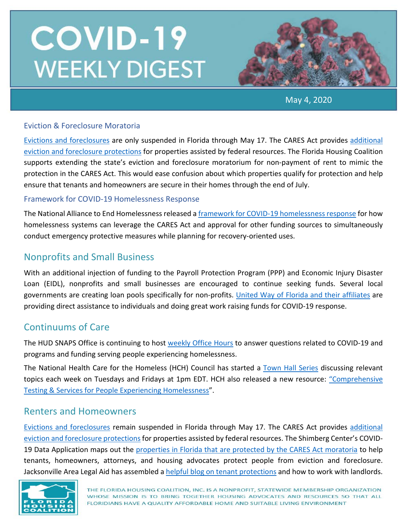

May 4, 2020

#### Eviction & Foreclosure Moratoria

[Evictions and foreclosures](https://www.flgov.com/wp-content/uploads/orders/2020/EO_20-94.pdf) are only suspended in Florida through May 17. The CARES Act provides [additional](https://www.nhlp.org/wp-content/uploads/2020.03.27-NHLP-CARES-Act-Eviction-Moratorium-Summary.pdf)  [eviction and foreclosure protections](https://www.nhlp.org/wp-content/uploads/2020.03.27-NHLP-CARES-Act-Eviction-Moratorium-Summary.pdf) for properties assisted by federal resources. The Florida Housing Coalition supports extending the state's eviction and foreclosure moratorium for non-payment of rent to mimic the protection in the CARES Act. This would ease confusion about which properties qualify for protection and help ensure that tenants and homeowners are secure in their homes through the end of July.

#### Framework for COVID-19 Homelessness Response

The National Alliance to End Homelessness released [a framework for COVID-19 homelessness response](https://endhomelessness.org/a-framework-for-covid-19-homelessness-response-responding-to-the-intersecting-crises-of-homelessness-and-covid-19/) for how homelessness systems can leverage the CARES Act and approval for other funding sources to simultaneously conduct emergency protective measures while planning for recovery-oriented uses.

### Nonprofits and Small Business

With an additional injection of funding to the Payroll Protection Program (PPP) and Economic Injury Disaster Loan (EIDL), nonprofits and small businesses are encouraged to continue seeking funds. Several local governments are creating loan pools specifically for non-profits. [United Way of Florida and their affiliates](https://www.uwof.org/) are providing direct assistance to individuals and doing great work raising funds for COVID-19 response.

### Continuums of Care

The HUD SNAPS Office is continuing to host [weekly Office Hours](https://www.hudexchange.info/news/office-hours-covid-19-planning-response-for-homeless-assistance-providers-fridays/) to answer questions related to COVID-19 and programs and funding serving people experiencing homelessness.

The National Health Care for the Homeless (HCH) Council has started a [Town Hall Series](https://events-na5.adobeconnect.com/content/connect/c1/940408314/en/events/event/shared/default_template/event_landing.html?connect-session=na5breezb5beccygot3oeew8&sco-id=2318708172&_charset_=utf-8) discussing relevant topics each week on Tuesdays and Fridays at 1pm EDT. HCH also released a new resource: ["Comprehensive](https://nhchc.org/wp-content/uploads/2020/04/Issue-brief-4-COVID-19-Testing-Services.pdf)  [Testing & Services for People Experiencing Homelessness"](https://nhchc.org/wp-content/uploads/2020/04/Issue-brief-4-COVID-19-Testing-Services.pdf).

#### Renters and Homeowners

[Evictions and foreclosures](https://www.flgov.com/wp-content/uploads/orders/2020/EO_20-94.pdf) remain suspended in Florida through May 17. The CARES Act provides [additional](https://www.nhlp.org/wp-content/uploads/2020.03.27-NHLP-CARES-Act-Eviction-Moratorium-Summary.pdf)  [eviction and foreclosure protections](https://www.nhlp.org/wp-content/uploads/2020.03.27-NHLP-CARES-Act-Eviction-Moratorium-Summary.pdf) for properties assisted by federal resources. The Shimberg Center's COVID-19 Data Application maps out the properties in Florida [that are protected by the CARES Act moratoria](http://www.shimberg.ufl.edu/covid-19) to help tenants, homeowners, attorneys, and housing advocates protect people from eviction and foreclosure. Jacksonville Area Legal Aid has assembled [a helpful blog on tenant protections](https://www.jaxlegalaid.org/2020/04/14/eviction-protections-covid-19/) and how to work with landlords.